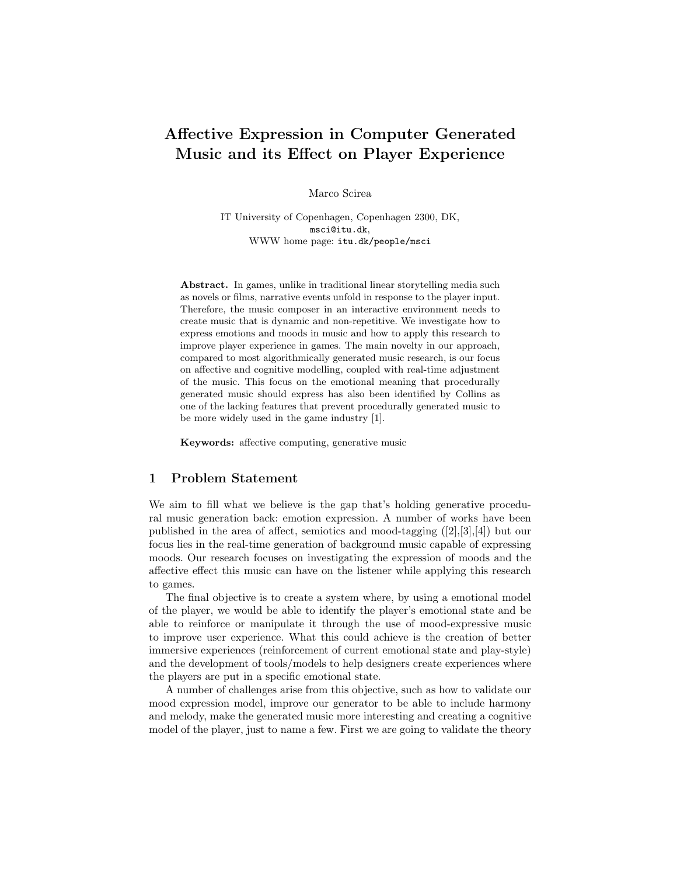# Affective Expression in Computer Generated Music and its Effect on Player Experience

Marco Scirea

IT University of Copenhagen, Copenhagen 2300, DK, msci@itu.dk, WWW home page: itu.dk/people/msci

Abstract. In games, unlike in traditional linear storytelling media such as novels or films, narrative events unfold in response to the player input. Therefore, the music composer in an interactive environment needs to create music that is dynamic and non-repetitive. We investigate how to express emotions and moods in music and how to apply this research to improve player experience in games. The main novelty in our approach, compared to most algorithmically generated music research, is our focus on affective and cognitive modelling, coupled with real-time adjustment of the music. This focus on the emotional meaning that procedurally generated music should express has also been identified by Collins as one of the lacking features that prevent procedurally generated music to be more widely used in the game industry [1].

Keywords: affective computing, generative music

### 1 Problem Statement

We aim to fill what we believe is the gap that's holding generative procedural music generation back: emotion expression. A number of works have been published in the area of affect, semiotics and mood-tagging  $([2],[3],[4])$  but our focus lies in the real-time generation of background music capable of expressing moods. Our research focuses on investigating the expression of moods and the affective effect this music can have on the listener while applying this research to games.

The final objective is to create a system where, by using a emotional model of the player, we would be able to identify the player's emotional state and be able to reinforce or manipulate it through the use of mood-expressive music to improve user experience. What this could achieve is the creation of better immersive experiences (reinforcement of current emotional state and play-style) and the development of tools/models to help designers create experiences where the players are put in a specific emotional state.

A number of challenges arise from this objective, such as how to validate our mood expression model, improve our generator to be able to include harmony and melody, make the generated music more interesting and creating a cognitive model of the player, just to name a few. First we are going to validate the theory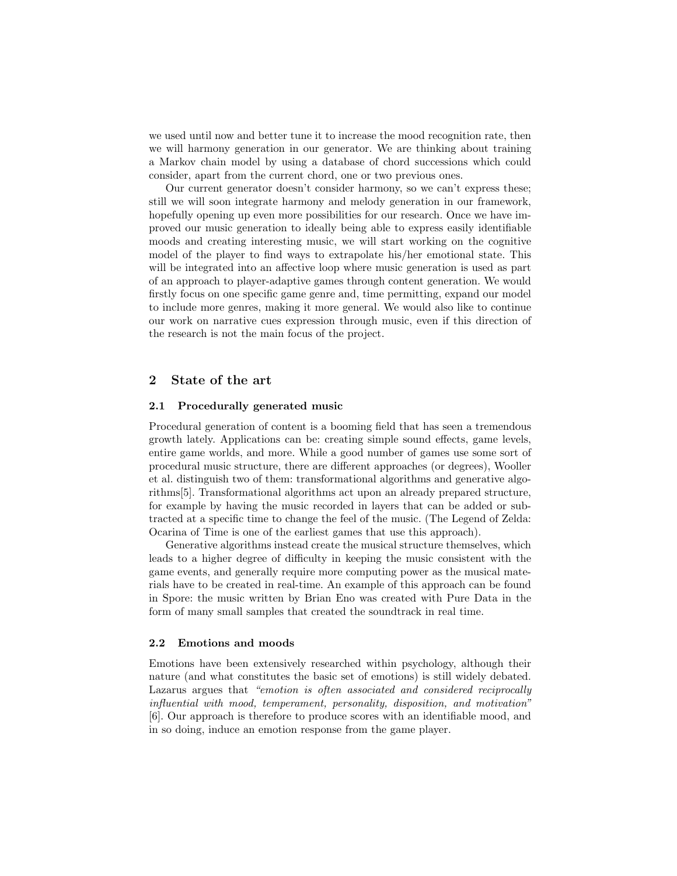we used until now and better tune it to increase the mood recognition rate, then we will harmony generation in our generator. We are thinking about training a Markov chain model by using a database of chord successions which could consider, apart from the current chord, one or two previous ones.

Our current generator doesn't consider harmony, so we can't express these; still we will soon integrate harmony and melody generation in our framework, hopefully opening up even more possibilities for our research. Once we have improved our music generation to ideally being able to express easily identifiable moods and creating interesting music, we will start working on the cognitive model of the player to find ways to extrapolate his/her emotional state. This will be integrated into an affective loop where music generation is used as part of an approach to player-adaptive games through content generation. We would firstly focus on one specific game genre and, time permitting, expand our model to include more genres, making it more general. We would also like to continue our work on narrative cues expression through music, even if this direction of the research is not the main focus of the project.

## 2 State of the art

#### 2.1 Procedurally generated music

Procedural generation of content is a booming field that has seen a tremendous growth lately. Applications can be: creating simple sound effects, game levels, entire game worlds, and more. While a good number of games use some sort of procedural music structure, there are different approaches (or degrees), Wooller et al. distinguish two of them: transformational algorithms and generative algorithms[5]. Transformational algorithms act upon an already prepared structure, for example by having the music recorded in layers that can be added or subtracted at a specific time to change the feel of the music. (The Legend of Zelda: Ocarina of Time is one of the earliest games that use this approach).

Generative algorithms instead create the musical structure themselves, which leads to a higher degree of difficulty in keeping the music consistent with the game events, and generally require more computing power as the musical materials have to be created in real-time. An example of this approach can be found in Spore: the music written by Brian Eno was created with Pure Data in the form of many small samples that created the soundtrack in real time.

#### 2.2 Emotions and moods

Emotions have been extensively researched within psychology, although their nature (and what constitutes the basic set of emotions) is still widely debated. Lazarus argues that "emotion is often associated and considered reciprocally influential with mood, temperament, personality, disposition, and motivation" [6]. Our approach is therefore to produce scores with an identifiable mood, and in so doing, induce an emotion response from the game player.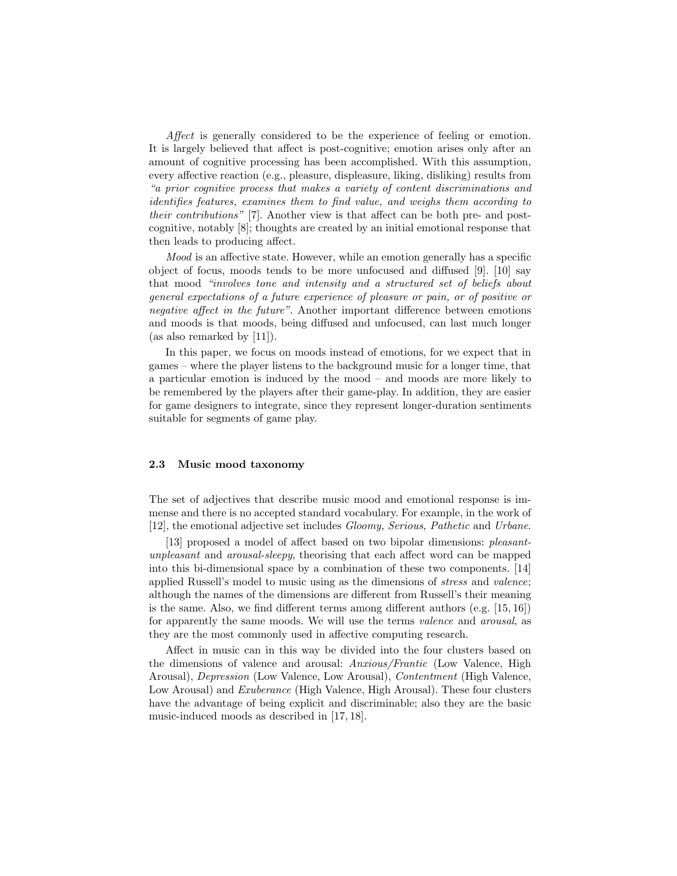Affect is generally considered to be the experience of feeling or emotion. It is largely believed that affect is post-cognitive; emotion arises only after an amount of cognitive processing has been accomplished. With this assumption, every affective reaction (e.g., pleasure, displeasure, liking, disliking) results from "a prior cognitive process that makes a variety of content discriminations and identifies features, examines them to find value, and weighs them according to their contributions" [7]. Another view is that affect can be both pre- and postcognitive, notably [8]; thoughts are created by an initial emotional response that then leads to producing affect.

Mood is an affective state. However, while an emotion generally has a specific object of focus, moods tends to be more unfocused and diffused [9]. [10] say that mood "involves tone and intensity and a structured set of beliefs about general expectations of a future experience of pleasure or pain, or of positive or negative affect in the future". Another important difference between emotions and moods is that moods, being diffused and unfocused, can last much longer (as also remarked by [11]).

In this paper, we focus on moods instead of emotions, for we expect that in games – where the player listens to the background music for a longer time, that a particular emotion is induced by the mood – and moods are more likely to be remembered by the players after their game-play. In addition, they are easier for game designers to integrate, since they represent longer-duration sentiments suitable for segments of game play.

#### 2.3 Music mood taxonomy

The set of adjectives that describe music mood and emotional response is immense and there is no accepted standard vocabulary. For example, in the work of [12], the emotional adjective set includes Gloomy, Serious, Pathetic and Urbane.

[13] proposed a model of affect based on two bipolar dimensions: *pleasant*unpleasant and arousal-sleepy, theorising that each affect word can be mapped into this bi-dimensional space by a combination of these two components. [14] applied Russell's model to music using as the dimensions of stress and valence; although the names of the dimensions are different from Russell's their meaning is the same. Also, we find different terms among different authors (e.g. [15, 16]) for apparently the same moods. We will use the terms valence and arousal, as they are the most commonly used in affective computing research.

Affect in music can in this way be divided into the four clusters based on the dimensions of valence and arousal: Anxious/Frantic (Low Valence, High Arousal), Depression (Low Valence, Low Arousal), Contentment (High Valence, Low Arousal) and Exuberance (High Valence, High Arousal). These four clusters have the advantage of being explicit and discriminable; also they are the basic music-induced moods as described in [17, 18].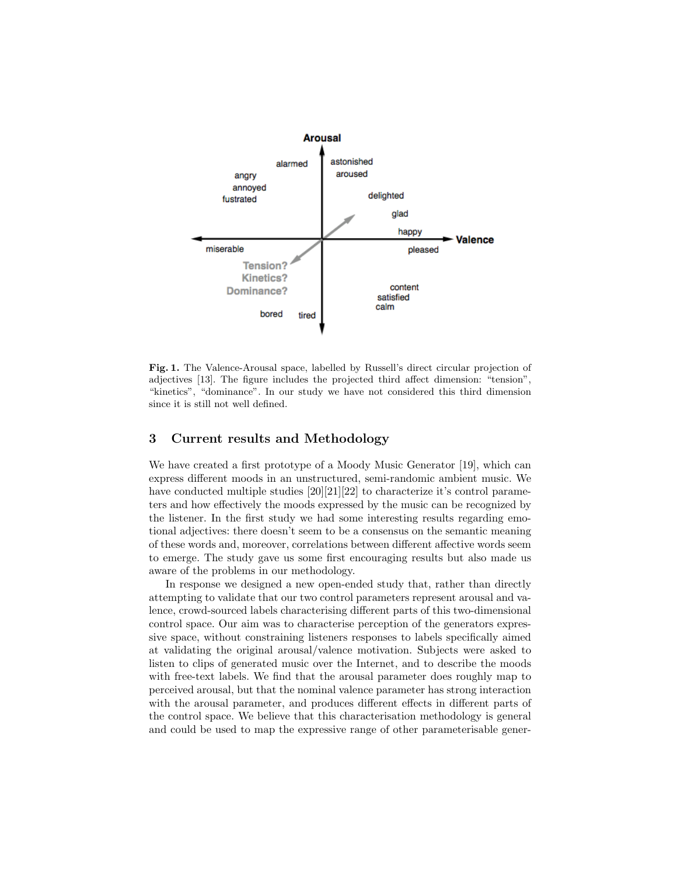

Fig. 1. The Valence-Arousal space, labelled by Russell's direct circular projection of adjectives [13]. The figure includes the projected third affect dimension: "tension", "kinetics", "dominance". In our study we have not considered this third dimension since it is still not well defined.

## 3 Current results and Methodology

We have created a first prototype of a Moody Music Generator [19], which can express different moods in an unstructured, semi-randomic ambient music. We have conducted multiple studies  $[20][21][22]$  to characterize it's control parameters and how effectively the moods expressed by the music can be recognized by the listener. In the first study we had some interesting results regarding emotional adjectives: there doesn't seem to be a consensus on the semantic meaning of these words and, moreover, correlations between different affective words seem to emerge. The study gave us some first encouraging results but also made us aware of the problems in our methodology.

In response we designed a new open-ended study that, rather than directly attempting to validate that our two control parameters represent arousal and valence, crowd-sourced labels characterising different parts of this two-dimensional control space. Our aim was to characterise perception of the generators expressive space, without constraining listeners responses to labels specifically aimed at validating the original arousal/valence motivation. Subjects were asked to listen to clips of generated music over the Internet, and to describe the moods with free-text labels. We find that the arousal parameter does roughly map to perceived arousal, but that the nominal valence parameter has strong interaction with the arousal parameter, and produces different effects in different parts of the control space. We believe that this characterisation methodology is general and could be used to map the expressive range of other parameterisable gener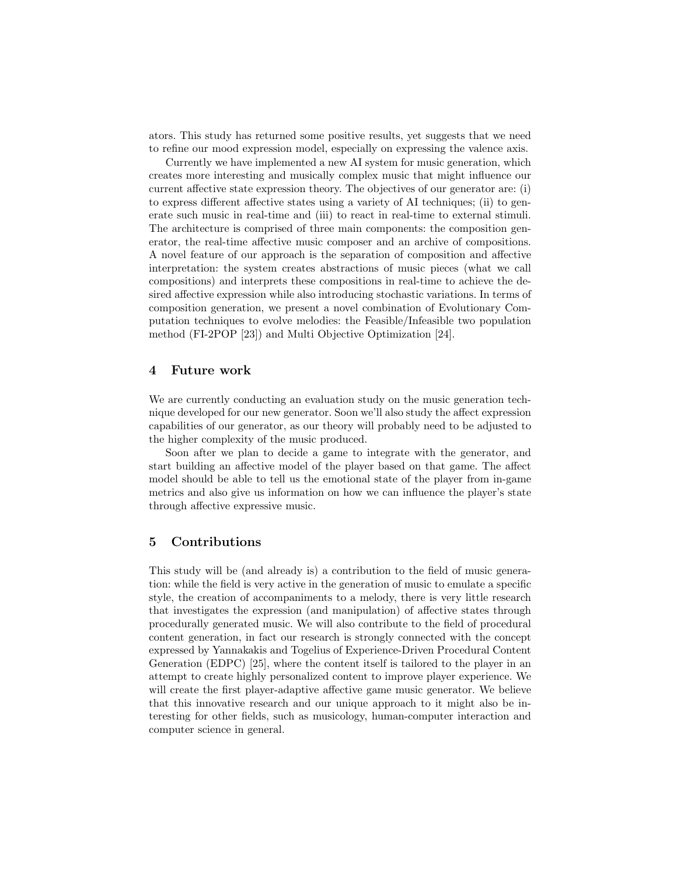ators. This study has returned some positive results, yet suggests that we need to refine our mood expression model, especially on expressing the valence axis.

Currently we have implemented a new AI system for music generation, which creates more interesting and musically complex music that might influence our current affective state expression theory. The objectives of our generator are: (i) to express different affective states using a variety of AI techniques; (ii) to generate such music in real-time and (iii) to react in real-time to external stimuli. The architecture is comprised of three main components: the composition generator, the real-time affective music composer and an archive of compositions. A novel feature of our approach is the separation of composition and affective interpretation: the system creates abstractions of music pieces (what we call compositions) and interprets these compositions in real-time to achieve the desired affective expression while also introducing stochastic variations. In terms of composition generation, we present a novel combination of Evolutionary Computation techniques to evolve melodies: the Feasible/Infeasible two population method (FI-2POP [23]) and Multi Objective Optimization [24].

## 4 Future work

We are currently conducting an evaluation study on the music generation technique developed for our new generator. Soon we'll also study the affect expression capabilities of our generator, as our theory will probably need to be adjusted to the higher complexity of the music produced.

Soon after we plan to decide a game to integrate with the generator, and start building an affective model of the player based on that game. The affect model should be able to tell us the emotional state of the player from in-game metrics and also give us information on how we can influence the player's state through affective expressive music.

## 5 Contributions

This study will be (and already is) a contribution to the field of music generation: while the field is very active in the generation of music to emulate a specific style, the creation of accompaniments to a melody, there is very little research that investigates the expression (and manipulation) of affective states through procedurally generated music. We will also contribute to the field of procedural content generation, in fact our research is strongly connected with the concept expressed by Yannakakis and Togelius of Experience-Driven Procedural Content Generation (EDPC) [25], where the content itself is tailored to the player in an attempt to create highly personalized content to improve player experience. We will create the first player-adaptive affective game music generator. We believe that this innovative research and our unique approach to it might also be interesting for other fields, such as musicology, human-computer interaction and computer science in general.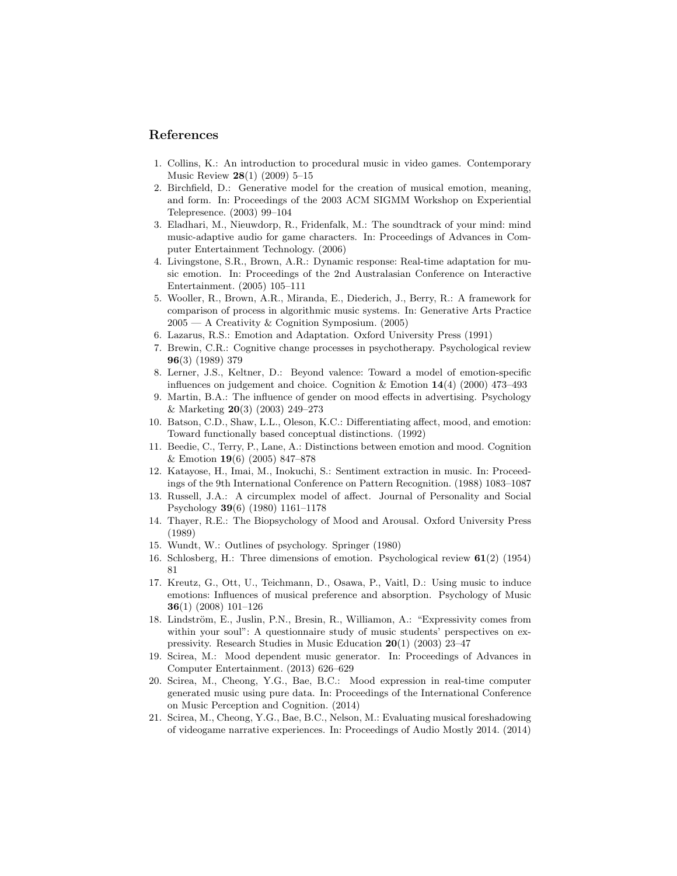## References

- 1. Collins, K.: An introduction to procedural music in video games. Contemporary Music Review 28(1) (2009) 5–15
- 2. Birchfield, D.: Generative model for the creation of musical emotion, meaning, and form. In: Proceedings of the 2003 ACM SIGMM Workshop on Experiential Telepresence. (2003) 99–104
- 3. Eladhari, M., Nieuwdorp, R., Fridenfalk, M.: The soundtrack of your mind: mind music-adaptive audio for game characters. In: Proceedings of Advances in Computer Entertainment Technology. (2006)
- 4. Livingstone, S.R., Brown, A.R.: Dynamic response: Real-time adaptation for music emotion. In: Proceedings of the 2nd Australasian Conference on Interactive Entertainment. (2005) 105–111
- 5. Wooller, R., Brown, A.R., Miranda, E., Diederich, J., Berry, R.: A framework for comparison of process in algorithmic music systems. In: Generative Arts Practice 2005 — A Creativity & Cognition Symposium. (2005)
- 6. Lazarus, R.S.: Emotion and Adaptation. Oxford University Press (1991)
- 7. Brewin, C.R.: Cognitive change processes in psychotherapy. Psychological review 96(3) (1989) 379
- 8. Lerner, J.S., Keltner, D.: Beyond valence: Toward a model of emotion-specific influences on judgement and choice. Cognition  $\&$  Emotion 14(4) (2000) 473–493
- 9. Martin, B.A.: The influence of gender on mood effects in advertising. Psychology & Marketing 20(3) (2003) 249–273
- 10. Batson, C.D., Shaw, L.L., Oleson, K.C.: Differentiating affect, mood, and emotion: Toward functionally based conceptual distinctions. (1992)
- 11. Beedie, C., Terry, P., Lane, A.: Distinctions between emotion and mood. Cognition & Emotion 19(6) (2005) 847–878
- 12. Katayose, H., Imai, M., Inokuchi, S.: Sentiment extraction in music. In: Proceedings of the 9th International Conference on Pattern Recognition. (1988) 1083–1087
- 13. Russell, J.A.: A circumplex model of affect. Journal of Personality and Social Psychology 39(6) (1980) 1161–1178
- 14. Thayer, R.E.: The Biopsychology of Mood and Arousal. Oxford University Press (1989)
- 15. Wundt, W.: Outlines of psychology. Springer (1980)
- 16. Schlosberg, H.: Three dimensions of emotion. Psychological review 61(2) (1954) 81
- 17. Kreutz, G., Ott, U., Teichmann, D., Osawa, P., Vaitl, D.: Using music to induce emotions: Influences of musical preference and absorption. Psychology of Music 36(1) (2008) 101–126
- 18. Lindström, E., Juslin, P.N., Bresin, R., Williamon, A.: "Expressivity comes from within your soul": A questionnaire study of music students' perspectives on expressivity. Research Studies in Music Education 20(1) (2003) 23–47
- 19. Scirea, M.: Mood dependent music generator. In: Proceedings of Advances in Computer Entertainment. (2013) 626–629
- 20. Scirea, M., Cheong, Y.G., Bae, B.C.: Mood expression in real-time computer generated music using pure data. In: Proceedings of the International Conference on Music Perception and Cognition. (2014)
- 21. Scirea, M., Cheong, Y.G., Bae, B.C., Nelson, M.: Evaluating musical foreshadowing of videogame narrative experiences. In: Proceedings of Audio Mostly 2014. (2014)